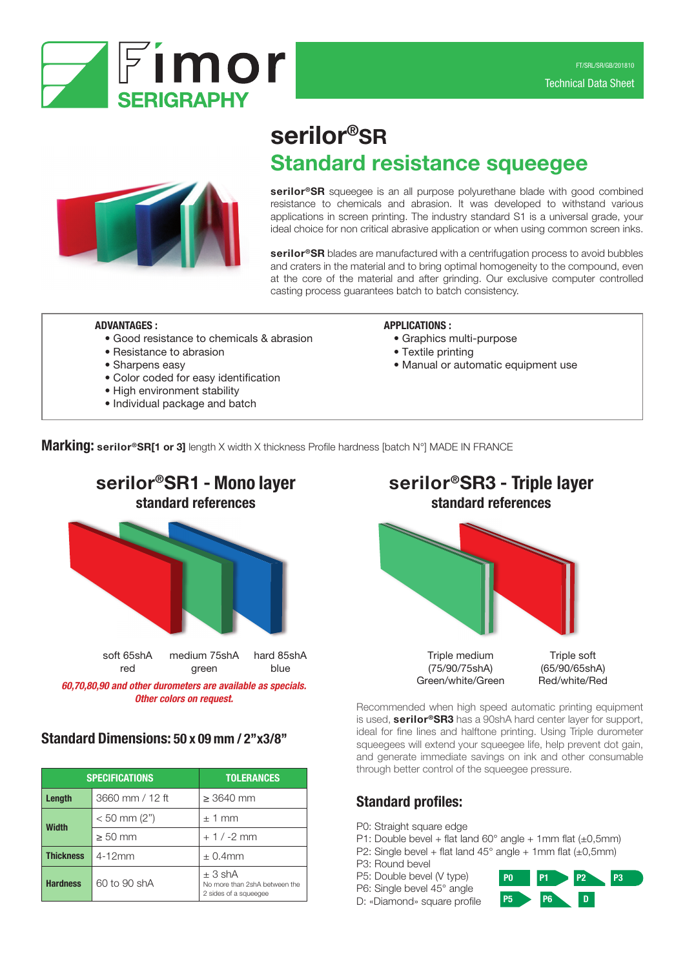



# serilor®SR Standard resistance squeegee

serilor<sup>®</sup>SR squeegee is an all purpose polyurethane blade with good combined resistance to chemicals and abrasion. It was developed to withstand various applications in screen printing. The industry standard S1 is a universal grade, your ideal choice for non critical abrasive application or when using common screen inks.

serilor<sup>®</sup>SR blades are manufactured with a centrifugation process to avoid bubbles and craters in the material and to bring optimal homogeneity to the compound, even at the core of the material and after grinding. Our exclusive computer controlled casting process guarantees batch to batch consistency.

#### ADVANTAGES :

- Good resistance to chemicals & abrasion
- Resistance to abrasion
- Sharpens easy
- Color coded for easy identification
- High environment stability
- Individual package and batch

#### APPLICATIONS :

- Graphics multi-purpose
- Textile printing
- Manual or automatic equipment use

**Marking: serilor®SR[1 or 3]** length X width X thickness Profile hardness [batch N°] MADE IN FRANCE



*60,70,80,90 and other durometers are available as specials.*

# Standard Dimensions: 50 x 09 mm / 2''x3/8''

| <b>SPECIFICATIONS</b> |                                   | <b>TOLERANCES</b>                                                 |  |
|-----------------------|-----------------------------------|-------------------------------------------------------------------|--|
| Length                | 3660 mm / 12 ft<br>$\geq$ 3640 mm |                                                                   |  |
| <b>Width</b>          | $< 50$ mm (2")                    | $\pm$ 1 mm                                                        |  |
|                       | $\geq 50$ mm                      | $+1/ -2$ mm                                                       |  |
| <b>Thickness</b>      | $4 - 12$ mm                       | $\pm$ 0.4mm                                                       |  |
| <b>Hardness</b>       | 60 to 90 shA                      | ± 3 shA<br>No more than 2shA between the<br>2 sides of a squeegee |  |



**Other colors on request.** Recommended when high speed automatic printing equipment is used, **serilor®SR3** has a 90shA hard center layer for support, ideal for fine lines and halftone printing. Using Triple durometer squeegees will extend your squeegee life, help prevent dot gain, and generate immediate savings on ink and other consumable through better control of the squeegee pressure.

# Standard profiles:

- P0: Straight square edge
- P1: Double bevel + flat land  $60^{\circ}$  angle + 1mm flat ( $\pm 0.5$ mm)
- P2: Single bevel + flat land  $45^{\circ}$  angle + 1mm flat ( $\pm$ 0,5mm)
- P3: Round bevel
- P5: Double bevel (V type)
- P6: Single bevel 45° angle

D: «Diamond» square profile